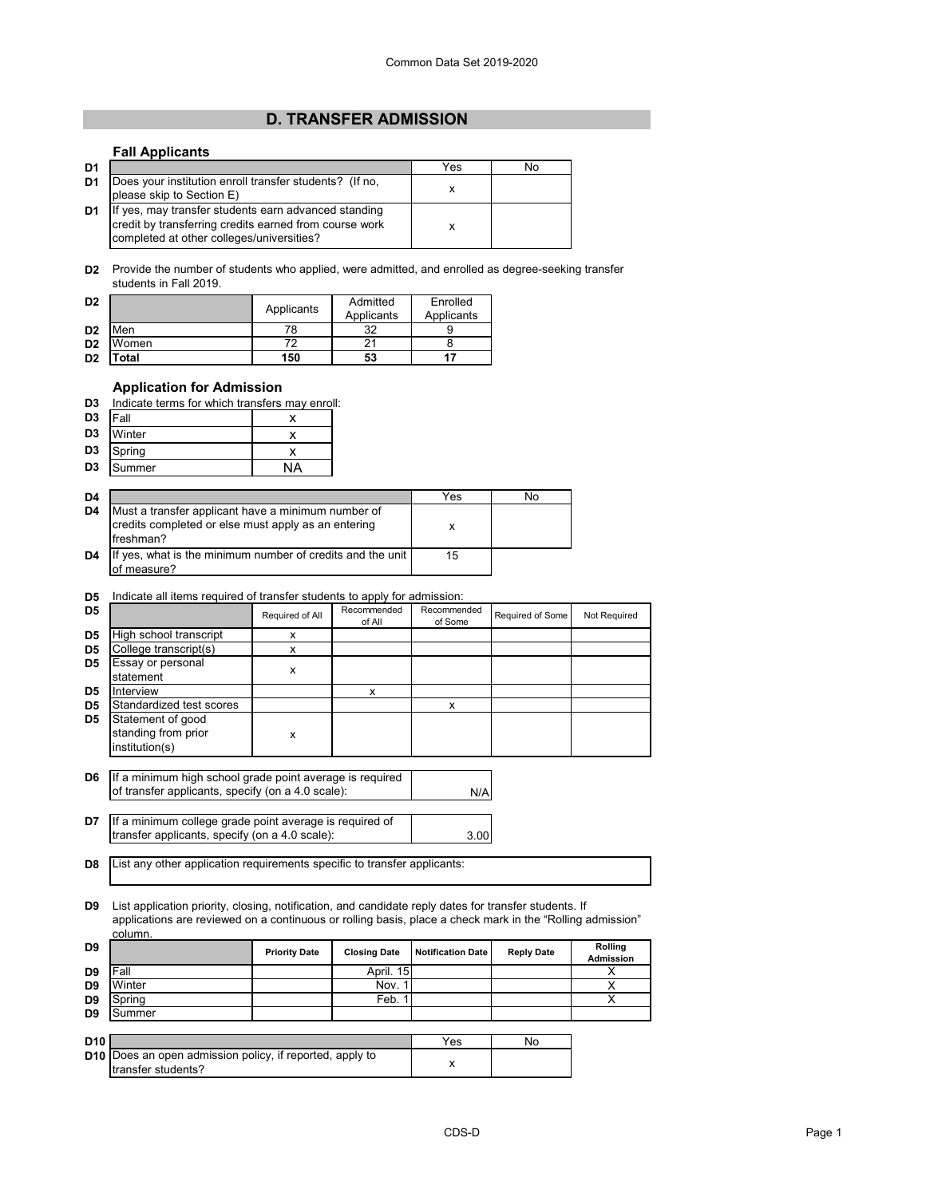# **D. TRANSFER ADMISSION**

#### **Fall Applicants**

| D <sub>1</sub> |                                                                                                                                                             | Yes | No |
|----------------|-------------------------------------------------------------------------------------------------------------------------------------------------------------|-----|----|
| D <sub>1</sub> | Does your institution enroll transfer students? (If no,<br>please skip to Section E)                                                                        |     |    |
| D <sub>1</sub> | If yes, may transfer students earn advanced standing<br>credit by transferring credits earned from course work<br>completed at other colleges/universities? |     |    |

**D2** Provide the number of students who applied, were admitted, and enrolled as degree-seeking transfer students in Fall 2019.

| D <sub>2</sub> |             | Applicants | Admitted<br>Applicants | Enrolled<br>Applicants |
|----------------|-------------|------------|------------------------|------------------------|
| D <sub>2</sub> | Men         | 78         | つ<br>ັ                 |                        |
| D <sub>2</sub> | Women       | 77         |                        |                        |
| D <sub>2</sub> | <b>otal</b> | 150        | 53                     |                        |

### **Application for Admission**

| D3 | Indicate terms for which transfers may enroll: |  |
|----|------------------------------------------------|--|
|    |                                                |  |

| D <sub>3</sub> | Fall   |  |
|----------------|--------|--|
| D <sub>3</sub> | Winter |  |
| D3             | Spring |  |
| D <sub>3</sub> | Summer |  |

| D <sub>4</sub> |                                                                                                                        | Yes | No |
|----------------|------------------------------------------------------------------------------------------------------------------------|-----|----|
| D <sub>4</sub> | Must a transfer applicant have a minimum number of<br>credits completed or else must apply as an entering<br>freshman? | х   |    |
| D <sub>4</sub> | If yes, what is the minimum number of credits and the unit<br>of measure?                                              | 15  |    |

#### **D5** Indicate all items required of transfer students to apply for admission:

| D <sub>5</sub> |                          | Required of All | Recommended<br>of All | Recommended<br>of Some | Required of Some | Not Required |
|----------------|--------------------------|-----------------|-----------------------|------------------------|------------------|--------------|
| D <sub>5</sub> | High school transcript   | x               |                       |                        |                  |              |
| D <sub>5</sub> | College transcript(s)    | x               |                       |                        |                  |              |
| D <sub>5</sub> | Essay or personal        |                 |                       |                        |                  |              |
|                | statement                | x               |                       |                        |                  |              |
| D <sub>5</sub> | Interview                |                 | x                     |                        |                  |              |
| D <sub>5</sub> | Standardized test scores |                 |                       | x                      |                  |              |
| D <sub>5</sub> | Statement of good        |                 |                       |                        |                  |              |
|                | standing from prior      | x               |                       |                        |                  |              |
|                | institution(s)           |                 |                       |                        |                  |              |
|                |                          |                 |                       |                        |                  |              |

**D6** If a minimum high school grade point average is required of transfer applicants, specify (on a 4.0 scale):

| <b>D7</b> If a minimum college grade point average is required of |      |
|-------------------------------------------------------------------|------|
| transfer applicants, specify (on a 4.0 scale):                    | 3.00 |

**D8** List any other application requirements specific to transfer applicants:

transfer students?

**D9** List application priority, closing, notification, and candidate reply dates for transfer students. If applications are reviewed on a continuous or rolling basis, place a check mark in the "Rolling admission" column.

| D <sub>9</sub>  |                                                                                       | <b>Priority Date</b> | <b>Closing Date</b> | <b>Notification Date</b> | <b>Reply Date</b> | Rolling<br><b>Admission</b> |
|-----------------|---------------------------------------------------------------------------------------|----------------------|---------------------|--------------------------|-------------------|-----------------------------|
| D <sub>9</sub>  | Fall                                                                                  |                      | April. 15           |                          |                   |                             |
| D <sub>9</sub>  | Winter                                                                                |                      | Nov.                |                          |                   |                             |
| D <sub>9</sub>  | Spring                                                                                |                      | Feb.                |                          |                   |                             |
| D <sub>9</sub>  | Summer                                                                                |                      |                     |                          |                   |                             |
|                 |                                                                                       |                      |                     |                          |                   |                             |
| D <sub>10</sub> |                                                                                       |                      |                     | Yes                      | No                |                             |
|                 | <b>D10</b> Does an open admission policy, if reported, apply to<br>trangfor etudente? |                      |                     | x                        |                   |                             |

N/A